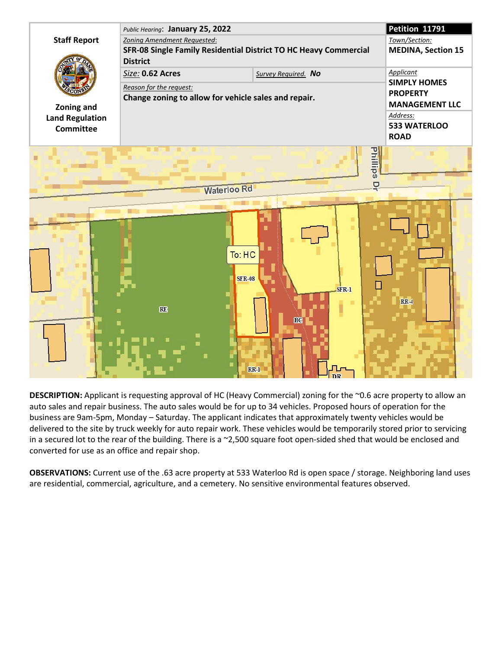

**DESCRIPTION:** Applicant is requesting approval of HC (Heavy Commercial) zoning for the ~0.6 acre property to allow an auto sales and repair business. The auto sales would be for up to 34 vehicles. Proposed hours of operation for the business are 9am-5pm, Monday – Saturday. The applicant indicates that approximately twenty vehicles would be delivered to the site by truck weekly for auto repair work. These vehicles would be temporarily stored prior to servicing in a secured lot to the rear of the building. There is a ~2,500 square foot open-sided shed that would be enclosed and converted for use as an office and repair shop.

**OBSERVATIONS:** Current use of the .63 acre property at 533 Waterloo Rd is open space / storage. Neighboring land uses are residential, commercial, agriculture, and a cemetery. No sensitive environmental features observed.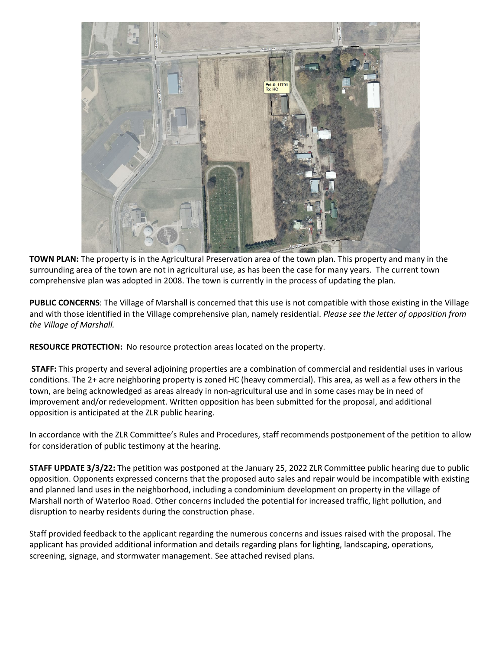

**TOWN PLAN:** The property is in the Agricultural Preservation area of the town plan. This property and many in the surrounding area of the town are not in agricultural use, as has been the case for many years. The current town comprehensive plan was adopted in 2008. The town is currently in the process of updating the plan.

**PUBLIC CONCERNS**: The Village of Marshall is concerned that this use is not compatible with those existing in the Village and with those identified in the Village comprehensive plan, namely residential. *Please see the letter of opposition from the Village of Marshall.*

**RESOURCE PROTECTION:** No resource protection areas located on the property.

**STAFF:** This property and several adjoining properties are a combination of commercial and residential uses in various conditions. The 2+ acre neighboring property is zoned HC (heavy commercial). This area, as well as a few others in the town, are being acknowledged as areas already in non-agricultural use and in some cases may be in need of improvement and/or redevelopment. Written opposition has been submitted for the proposal, and additional opposition is anticipated at the ZLR public hearing.

In accordance with the ZLR Committee's Rules and Procedures, staff recommends postponement of the petition to allow for consideration of public testimony at the hearing.

**STAFF UPDATE 3/3/22:** The petition was postponed at the January 25, 2022 ZLR Committee public hearing due to public opposition. Opponents expressed concerns that the proposed auto sales and repair would be incompatible with existing and planned land uses in the neighborhood, including a condominium development on property in the village of Marshall north of Waterloo Road. Other concerns included the potential for increased traffic, light pollution, and disruption to nearby residents during the construction phase.

Staff provided feedback to the applicant regarding the numerous concerns and issues raised with the proposal. The applicant has provided additional information and details regarding plans for lighting, landscaping, operations, screening, signage, and stormwater management. See attached revised plans.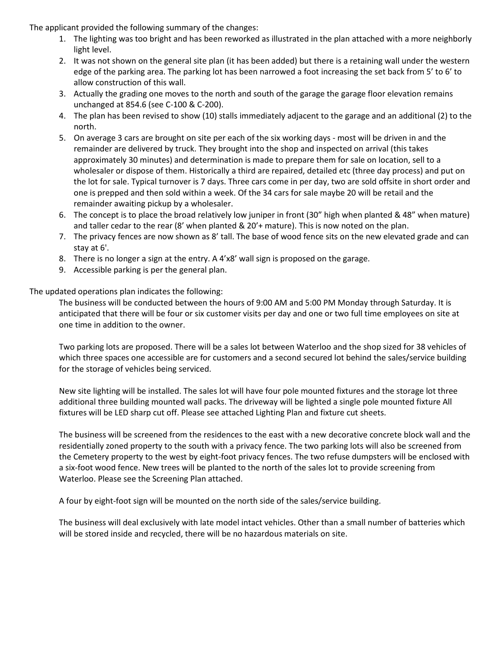The applicant provided the following summary of the changes:

- 1. The lighting was too bright and has been reworked as illustrated in the plan attached with a more neighborly light level.
- 2. It was not shown on the general site plan (it has been added) but there is a retaining wall under the western edge of the parking area. The parking lot has been narrowed a foot increasing the set back from 5' to 6' to allow construction of this wall.
- 3. Actually the grading one moves to the north and south of the garage the garage floor elevation remains unchanged at 854.6 (see C-100 & C-200).
- 4. The plan has been revised to show (10) stalls immediately adjacent to the garage and an additional (2) to the north.
- 5. On average 3 cars are brought on site per each of the six working days most will be driven in and the remainder are delivered by truck. They brought into the shop and inspected on arrival (this takes approximately 30 minutes) and determination is made to prepare them for sale on location, sell to a wholesaler or dispose of them. Historically a third are repaired, detailed etc (three day process) and put on the lot for sale. Typical turnover is 7 days. Three cars come in per day, two are sold offsite in short order and one is prepped and then sold within a week. Of the 34 cars for sale maybe 20 will be retail and the remainder awaiting pickup by a wholesaler.
- 6. The concept is to place the broad relatively low juniper in front (30" high when planted & 48" when mature) and taller cedar to the rear (8' when planted & 20'+ mature). This is now noted on the plan.
- 7. The privacy fences are now shown as 8' tall. The base of wood fence sits on the new elevated grade and can stay at 6'.
- 8. There is no longer a sign at the entry. A 4'x8' wall sign is proposed on the garage.
- 9. Accessible parking is per the general plan.

The updated operations plan indicates the following:

The business will be conducted between the hours of 9:00 AM and 5:00 PM Monday through Saturday. It is anticipated that there will be four or six customer visits per day and one or two full time employees on site at one time in addition to the owner.

Two parking lots are proposed. There will be a sales lot between Waterloo and the shop sized for 38 vehicles of which three spaces one accessible are for customers and a second secured lot behind the sales/service building for the storage of vehicles being serviced.

New site lighting will be installed. The sales lot will have four pole mounted fixtures and the storage lot three additional three building mounted wall packs. The driveway will be lighted a single pole mounted fixture All fixtures will be LED sharp cut off. Please see attached Lighting Plan and fixture cut sheets.

The business will be screened from the residences to the east with a new decorative concrete block wall and the residentially zoned property to the south with a privacy fence. The two parking lots will also be screened from the Cemetery property to the west by eight-foot privacy fences. The two refuse dumpsters will be enclosed with a six-foot wood fence. New trees will be planted to the north of the sales lot to provide screening from Waterloo. Please see the Screening Plan attached.

A four by eight-foot sign will be mounted on the north side of the sales/service building.

The business will deal exclusively with late model intact vehicles. Other than a small number of batteries which will be stored inside and recycled, there will be no hazardous materials on site.